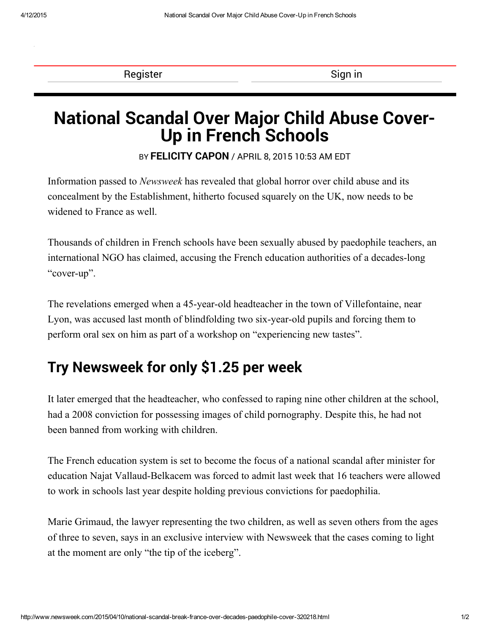[Register](http://www.newsweek.com/subscribe) Sign in the Sign in the Sign in the Sign in the Sign in the Sign in the Sign in the Sign in the Sign in the Sign in the Sign in the Sign in the Sign in the Sign in the Sign in the Sign in the Sign in the Sign in t

## National Scandal Over Major Child Abuse Cover-Up in French Schools

BY [FELICITY](http://www.newsweek.com/authors/felicity-capon) CAPON / APRIL 8, 2015 10:53 AM EDT

Information passed to Newsweek has revealed that global horror over child abuse and its concealment by the Establishment, hitherto focused squarely on the UK, now needs to be widened to France as well.

Thousands of children in French schools have been sexually abused by paedophile teachers, an international NGO has claimed, accusing the French education authorities of a decades-long "cover-up".

The revelations emerged when a 45-year-old headteacher in the town of Villefontaine, near Lyon, was accused last month of blindfolding two six-year-old pupils and forcing them to perform oral sex on him as part of a workshop on "experiencing new tastes".

## Try [Newsweek](http://www.newsweek.com/trial) for only \$1.25 per week

It later emerged that the headteacher, who confessed to raping nine other children at the school, had a 2008 conviction for possessing images of child pornography. Despite this, he had not been banned from working with children.

The French education system is set to become the focus of a national scandal after minister for education Najat Vallaud-Belkacem was forced to admit last week that 16 teachers were allowed to work in schools last year despite holding previous convictions for paedophilia.

Marie Grimaud, the lawyer representing the two children, as well as seven others from the ages of three to seven, says in an exclusive interview with Newsweek that the cases coming to light at the moment are only "the tip of the iceberg".